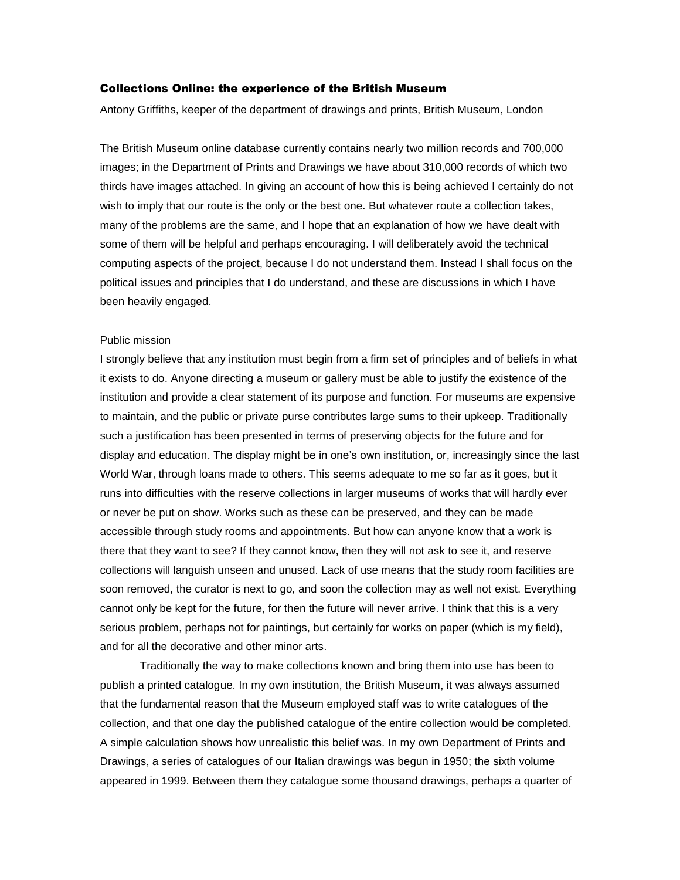## Collections Online: the experience of the British Museum

Antony Griffiths, keeper of the department of drawings and prints, British Museum, London

The British Museum online database currently contains nearly two million records and 700,000 images; in the Department of Prints and Drawings we have about 310,000 records of which two thirds have images attached. In giving an account of how this is being achieved I certainly do not wish to imply that our route is the only or the best one. But whatever route a collection takes, many of the problems are the same, and I hope that an explanation of how we have dealt with some of them will be helpful and perhaps encouraging. I will deliberately avoid the technical computing aspects of the project, because I do not understand them. Instead I shall focus on the political issues and principles that I do understand, and these are discussions in which I have been heavily engaged.

### Public mission

I strongly believe that any institution must begin from a firm set of principles and of beliefs in what it exists to do. Anyone directing a museum or gallery must be able to justify the existence of the institution and provide a clear statement of its purpose and function. For museums are expensive to maintain, and the public or private purse contributes large sums to their upkeep. Traditionally such a justification has been presented in terms of preserving objects for the future and for display and education. The display might be in one's own institution, or, increasingly since the last World War, through loans made to others. This seems adequate to me so far as it goes, but it runs into difficulties with the reserve collections in larger museums of works that will hardly ever or never be put on show. Works such as these can be preserved, and they can be made accessible through study rooms and appointments. But how can anyone know that a work is there that they want to see? If they cannot know, then they will not ask to see it, and reserve collections will languish unseen and unused. Lack of use means that the study room facilities are soon removed, the curator is next to go, and soon the collection may as well not exist. Everything cannot only be kept for the future, for then the future will never arrive. I think that this is a very serious problem, perhaps not for paintings, but certainly for works on paper (which is my field), and for all the decorative and other minor arts.

Traditionally the way to make collections known and bring them into use has been to publish a printed catalogue. In my own institution, the British Museum, it was always assumed that the fundamental reason that the Museum employed staff was to write catalogues of the collection, and that one day the published catalogue of the entire collection would be completed. A simple calculation shows how unrealistic this belief was. In my own Department of Prints and Drawings, a series of catalogues of our Italian drawings was begun in 1950; the sixth volume appeared in 1999. Between them they catalogue some thousand drawings, perhaps a quarter of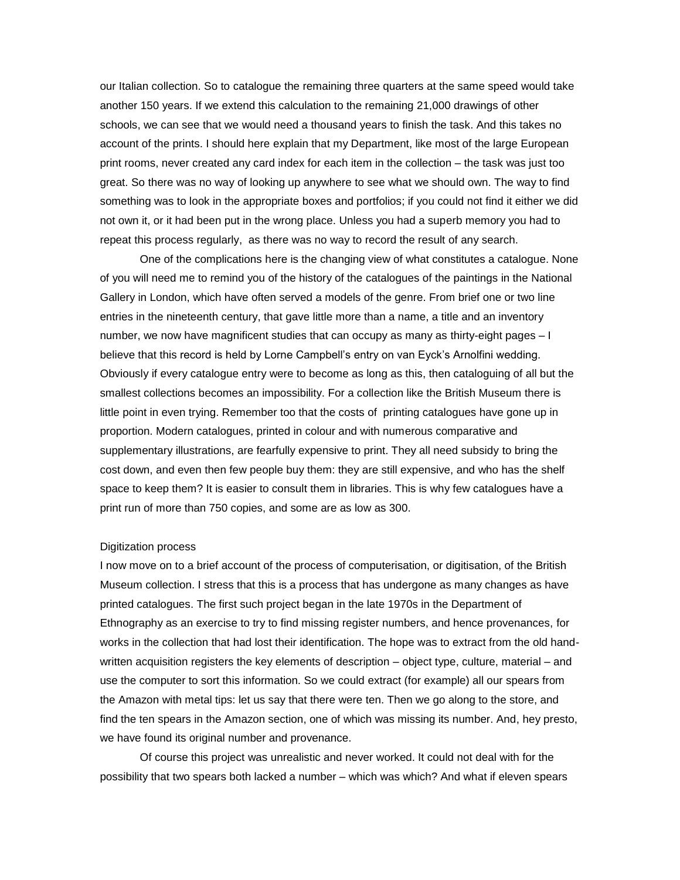our Italian collection. So to catalogue the remaining three quarters at the same speed would take another 150 years. If we extend this calculation to the remaining 21,000 drawings of other schools, we can see that we would need a thousand years to finish the task. And this takes no account of the prints. I should here explain that my Department, like most of the large European print rooms, never created any card index for each item in the collection – the task was just too great. So there was no way of looking up anywhere to see what we should own. The way to find something was to look in the appropriate boxes and portfolios; if you could not find it either we did not own it, or it had been put in the wrong place. Unless you had a superb memory you had to repeat this process regularly, as there was no way to record the result of any search.

One of the complications here is the changing view of what constitutes a catalogue. None of you will need me to remind you of the history of the catalogues of the paintings in the National Gallery in London, which have often served a models of the genre. From brief one or two line entries in the nineteenth century, that gave little more than a name, a title and an inventory number, we now have magnificent studies that can occupy as many as thirty-eight pages – I believe that this record is held by Lorne Campbell's entry on van Eyck's Arnolfini wedding. Obviously if every catalogue entry were to become as long as this, then cataloguing of all but the smallest collections becomes an impossibility. For a collection like the British Museum there is little point in even trying. Remember too that the costs of printing catalogues have gone up in proportion. Modern catalogues, printed in colour and with numerous comparative and supplementary illustrations, are fearfully expensive to print. They all need subsidy to bring the cost down, and even then few people buy them: they are still expensive, and who has the shelf space to keep them? It is easier to consult them in libraries. This is why few catalogues have a print run of more than 750 copies, and some are as low as 300.

### Digitization process

I now move on to a brief account of the process of computerisation, or digitisation, of the British Museum collection. I stress that this is a process that has undergone as many changes as have printed catalogues. The first such project began in the late 1970s in the Department of Ethnography as an exercise to try to find missing register numbers, and hence provenances, for works in the collection that had lost their identification. The hope was to extract from the old handwritten acquisition registers the key elements of description – object type, culture, material – and use the computer to sort this information. So we could extract (for example) all our spears from the Amazon with metal tips: let us say that there were ten. Then we go along to the store, and find the ten spears in the Amazon section, one of which was missing its number. And, hey presto, we have found its original number and provenance.

Of course this project was unrealistic and never worked. It could not deal with for the possibility that two spears both lacked a number – which was which? And what if eleven spears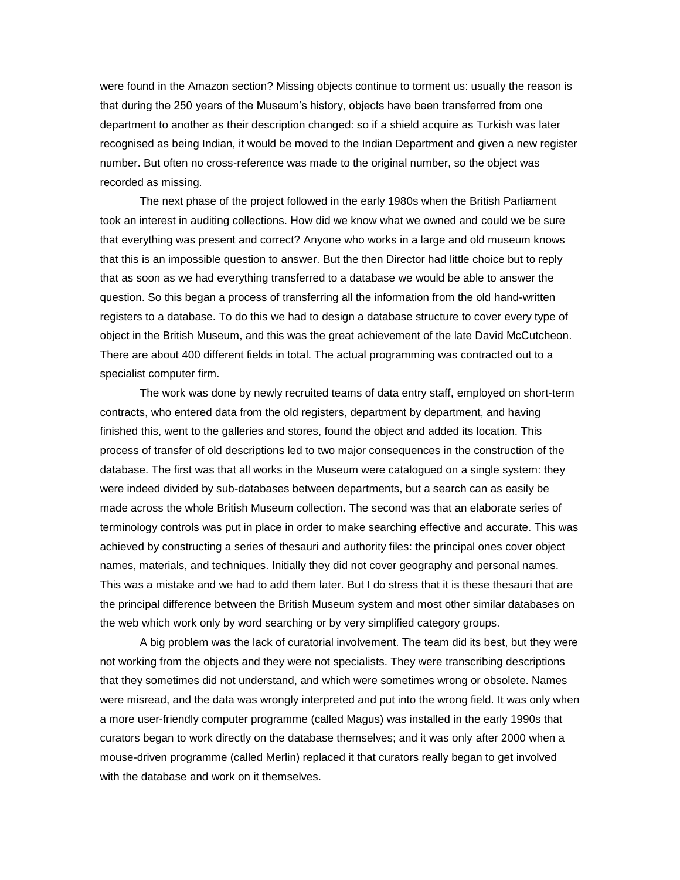were found in the Amazon section? Missing objects continue to torment us: usually the reason is that during the 250 years of the Museum's history, objects have been transferred from one department to another as their description changed: so if a shield acquire as Turkish was later recognised as being Indian, it would be moved to the Indian Department and given a new register number. But often no cross-reference was made to the original number, so the object was recorded as missing.

The next phase of the project followed in the early 1980s when the British Parliament took an interest in auditing collections. How did we know what we owned and could we be sure that everything was present and correct? Anyone who works in a large and old museum knows that this is an impossible question to answer. But the then Director had little choice but to reply that as soon as we had everything transferred to a database we would be able to answer the question. So this began a process of transferring all the information from the old hand-written registers to a database. To do this we had to design a database structure to cover every type of object in the British Museum, and this was the great achievement of the late David McCutcheon. There are about 400 different fields in total. The actual programming was contracted out to a specialist computer firm.

The work was done by newly recruited teams of data entry staff, employed on short-term contracts, who entered data from the old registers, department by department, and having finished this, went to the galleries and stores, found the object and added its location. This process of transfer of old descriptions led to two major consequences in the construction of the database. The first was that all works in the Museum were catalogued on a single system: they were indeed divided by sub-databases between departments, but a search can as easily be made across the whole British Museum collection. The second was that an elaborate series of terminology controls was put in place in order to make searching effective and accurate. This was achieved by constructing a series of thesauri and authority files: the principal ones cover object names, materials, and techniques. Initially they did not cover geography and personal names. This was a mistake and we had to add them later. But I do stress that it is these thesauri that are the principal difference between the British Museum system and most other similar databases on the web which work only by word searching or by very simplified category groups.

A big problem was the lack of curatorial involvement. The team did its best, but they were not working from the objects and they were not specialists. They were transcribing descriptions that they sometimes did not understand, and which were sometimes wrong or obsolete. Names were misread, and the data was wrongly interpreted and put into the wrong field. It was only when a more user-friendly computer programme (called Magus) was installed in the early 1990s that curators began to work directly on the database themselves; and it was only after 2000 when a mouse-driven programme (called Merlin) replaced it that curators really began to get involved with the database and work on it themselves.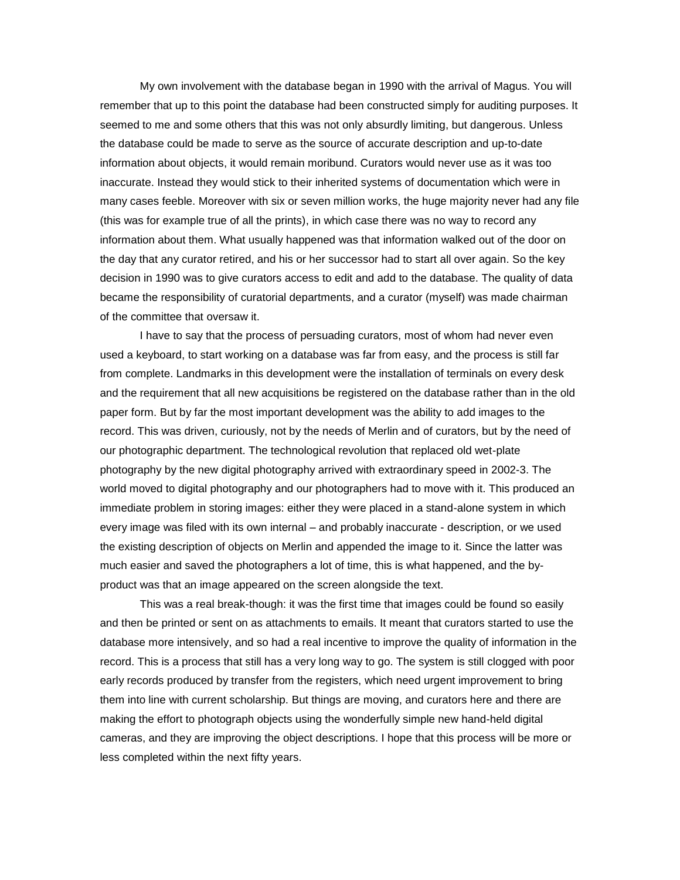My own involvement with the database began in 1990 with the arrival of Magus. You will remember that up to this point the database had been constructed simply for auditing purposes. It seemed to me and some others that this was not only absurdly limiting, but dangerous. Unless the database could be made to serve as the source of accurate description and up-to-date information about objects, it would remain moribund. Curators would never use as it was too inaccurate. Instead they would stick to their inherited systems of documentation which were in many cases feeble. Moreover with six or seven million works, the huge majority never had any file (this was for example true of all the prints), in which case there was no way to record any information about them. What usually happened was that information walked out of the door on the day that any curator retired, and his or her successor had to start all over again. So the key decision in 1990 was to give curators access to edit and add to the database. The quality of data became the responsibility of curatorial departments, and a curator (myself) was made chairman of the committee that oversaw it.

I have to say that the process of persuading curators, most of whom had never even used a keyboard, to start working on a database was far from easy, and the process is still far from complete. Landmarks in this development were the installation of terminals on every desk and the requirement that all new acquisitions be registered on the database rather than in the old paper form. But by far the most important development was the ability to add images to the record. This was driven, curiously, not by the needs of Merlin and of curators, but by the need of our photographic department. The technological revolution that replaced old wet-plate photography by the new digital photography arrived with extraordinary speed in 2002-3. The world moved to digital photography and our photographers had to move with it. This produced an immediate problem in storing images: either they were placed in a stand-alone system in which every image was filed with its own internal – and probably inaccurate - description, or we used the existing description of objects on Merlin and appended the image to it. Since the latter was much easier and saved the photographers a lot of time, this is what happened, and the byproduct was that an image appeared on the screen alongside the text.

This was a real break-though: it was the first time that images could be found so easily and then be printed or sent on as attachments to emails. It meant that curators started to use the database more intensively, and so had a real incentive to improve the quality of information in the record. This is a process that still has a very long way to go. The system is still clogged with poor early records produced by transfer from the registers, which need urgent improvement to bring them into line with current scholarship. But things are moving, and curators here and there are making the effort to photograph objects using the wonderfully simple new hand-held digital cameras, and they are improving the object descriptions. I hope that this process will be more or less completed within the next fifty years.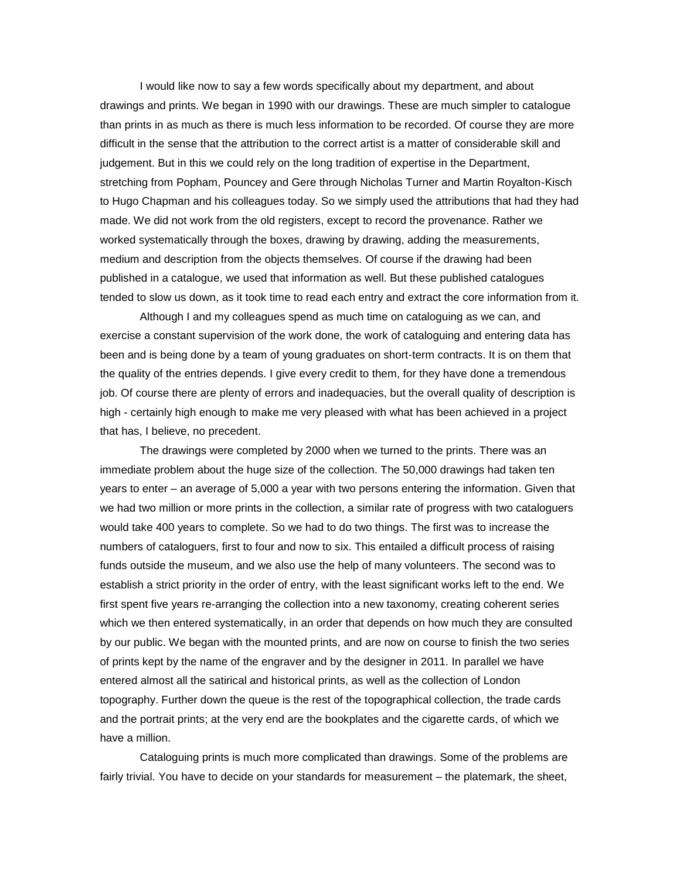I would like now to say a few words specifically about my department, and about drawings and prints. We began in 1990 with our drawings. These are much simpler to catalogue than prints in as much as there is much less information to be recorded. Of course they are more difficult in the sense that the attribution to the correct artist is a matter of considerable skill and judgement. But in this we could rely on the long tradition of expertise in the Department, stretching from Popham, Pouncey and Gere through Nicholas Turner and Martin Royalton-Kisch to Hugo Chapman and his colleagues today. So we simply used the attributions that had they had made. We did not work from the old registers, except to record the provenance. Rather we worked systematically through the boxes, drawing by drawing, adding the measurements, medium and description from the objects themselves. Of course if the drawing had been published in a catalogue, we used that information as well. But these published catalogues tended to slow us down, as it took time to read each entry and extract the core information from it.

Although I and my colleagues spend as much time on cataloguing as we can, and exercise a constant supervision of the work done, the work of cataloguing and entering data has been and is being done by a team of young graduates on short-term contracts. It is on them that the quality of the entries depends. I give every credit to them, for they have done a tremendous job. Of course there are plenty of errors and inadequacies, but the overall quality of description is high - certainly high enough to make me very pleased with what has been achieved in a project that has, I believe, no precedent.

The drawings were completed by 2000 when we turned to the prints. There was an immediate problem about the huge size of the collection. The 50,000 drawings had taken ten years to enter – an average of 5,000 a year with two persons entering the information. Given that we had two million or more prints in the collection, a similar rate of progress with two cataloguers would take 400 years to complete. So we had to do two things. The first was to increase the numbers of cataloguers, first to four and now to six. This entailed a difficult process of raising funds outside the museum, and we also use the help of many volunteers. The second was to establish a strict priority in the order of entry, with the least significant works left to the end. We first spent five years re-arranging the collection into a new taxonomy, creating coherent series which we then entered systematically, in an order that depends on how much they are consulted by our public. We began with the mounted prints, and are now on course to finish the two series of prints kept by the name of the engraver and by the designer in 2011. In parallel we have entered almost all the satirical and historical prints, as well as the collection of London topography. Further down the queue is the rest of the topographical collection, the trade cards and the portrait prints; at the very end are the bookplates and the cigarette cards, of which we have a million.

Cataloguing prints is much more complicated than drawings. Some of the problems are fairly trivial. You have to decide on your standards for measurement – the platemark, the sheet,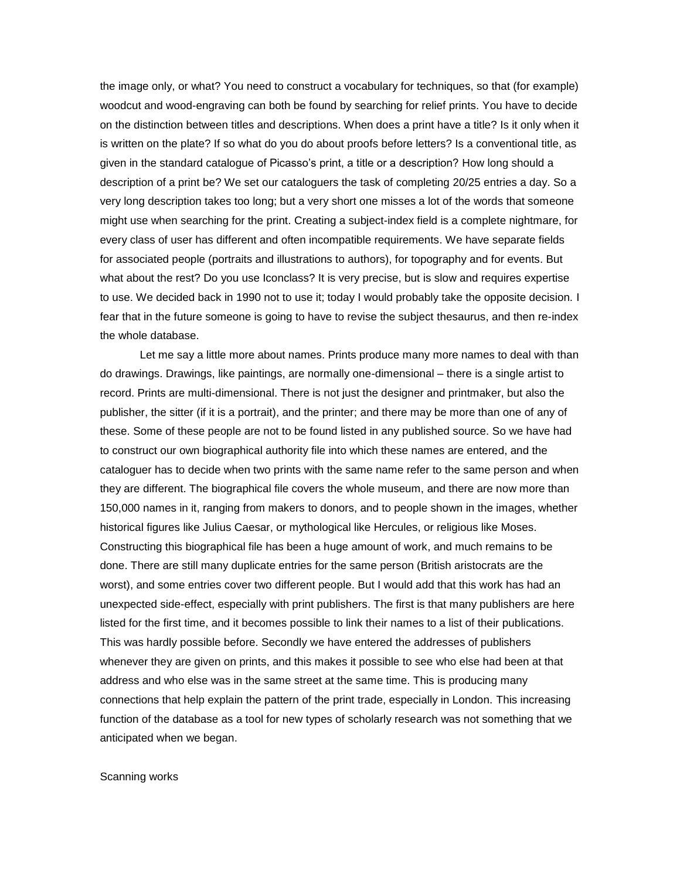the image only, or what? You need to construct a vocabulary for techniques, so that (for example) woodcut and wood-engraving can both be found by searching for relief prints. You have to decide on the distinction between titles and descriptions. When does a print have a title? Is it only when it is written on the plate? If so what do you do about proofs before letters? Is a conventional title, as given in the standard catalogue of Picasso's print, a title or a description? How long should a description of a print be? We set our cataloguers the task of completing 20/25 entries a day. So a very long description takes too long; but a very short one misses a lot of the words that someone might use when searching for the print. Creating a subject-index field is a complete nightmare, for every class of user has different and often incompatible requirements. We have separate fields for associated people (portraits and illustrations to authors), for topography and for events. But what about the rest? Do you use Iconclass? It is very precise, but is slow and requires expertise to use. We decided back in 1990 not to use it; today I would probably take the opposite decision. I fear that in the future someone is going to have to revise the subject thesaurus, and then re-index the whole database.

Let me say a little more about names. Prints produce many more names to deal with than do drawings. Drawings, like paintings, are normally one-dimensional – there is a single artist to record. Prints are multi-dimensional. There is not just the designer and printmaker, but also the publisher, the sitter (if it is a portrait), and the printer; and there may be more than one of any of these. Some of these people are not to be found listed in any published source. So we have had to construct our own biographical authority file into which these names are entered, and the cataloguer has to decide when two prints with the same name refer to the same person and when they are different. The biographical file covers the whole museum, and there are now more than 150,000 names in it, ranging from makers to donors, and to people shown in the images, whether historical figures like Julius Caesar, or mythological like Hercules, or religious like Moses. Constructing this biographical file has been a huge amount of work, and much remains to be done. There are still many duplicate entries for the same person (British aristocrats are the worst), and some entries cover two different people. But I would add that this work has had an unexpected side-effect, especially with print publishers. The first is that many publishers are here listed for the first time, and it becomes possible to link their names to a list of their publications. This was hardly possible before. Secondly we have entered the addresses of publishers whenever they are given on prints, and this makes it possible to see who else had been at that address and who else was in the same street at the same time. This is producing many connections that help explain the pattern of the print trade, especially in London. This increasing function of the database as a tool for new types of scholarly research was not something that we anticipated when we began.

### Scanning works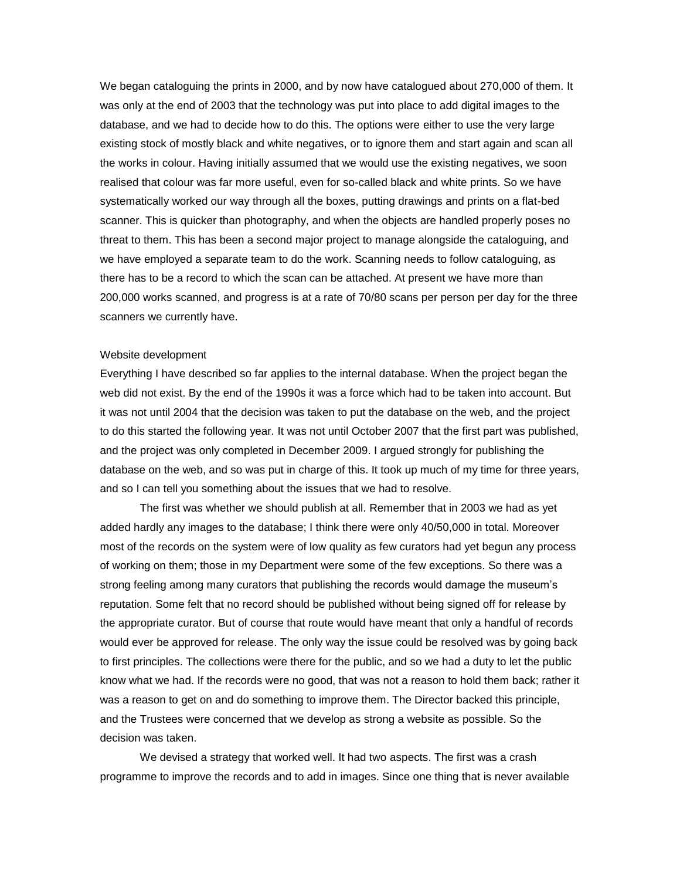We began cataloguing the prints in 2000, and by now have catalogued about 270,000 of them. It was only at the end of 2003 that the technology was put into place to add digital images to the database, and we had to decide how to do this. The options were either to use the very large existing stock of mostly black and white negatives, or to ignore them and start again and scan all the works in colour. Having initially assumed that we would use the existing negatives, we soon realised that colour was far more useful, even for so-called black and white prints. So we have systematically worked our way through all the boxes, putting drawings and prints on a flat-bed scanner. This is quicker than photography, and when the objects are handled properly poses no threat to them. This has been a second major project to manage alongside the cataloguing, and we have employed a separate team to do the work. Scanning needs to follow cataloguing, as there has to be a record to which the scan can be attached. At present we have more than 200,000 works scanned, and progress is at a rate of 70/80 scans per person per day for the three scanners we currently have.

## Website development

Everything I have described so far applies to the internal database. When the project began the web did not exist. By the end of the 1990s it was a force which had to be taken into account. But it was not until 2004 that the decision was taken to put the database on the web, and the project to do this started the following year. It was not until October 2007 that the first part was published, and the project was only completed in December 2009. I argued strongly for publishing the database on the web, and so was put in charge of this. It took up much of my time for three years, and so I can tell you something about the issues that we had to resolve.

The first was whether we should publish at all. Remember that in 2003 we had as yet added hardly any images to the database; I think there were only 40/50,000 in total. Moreover most of the records on the system were of low quality as few curators had yet begun any process of working on them; those in my Department were some of the few exceptions. So there was a strong feeling among many curators that publishing the records would damage the museum's reputation. Some felt that no record should be published without being signed off for release by the appropriate curator. But of course that route would have meant that only a handful of records would ever be approved for release. The only way the issue could be resolved was by going back to first principles. The collections were there for the public, and so we had a duty to let the public know what we had. If the records were no good, that was not a reason to hold them back; rather it was a reason to get on and do something to improve them. The Director backed this principle, and the Trustees were concerned that we develop as strong a website as possible. So the decision was taken.

We devised a strategy that worked well. It had two aspects. The first was a crash programme to improve the records and to add in images. Since one thing that is never available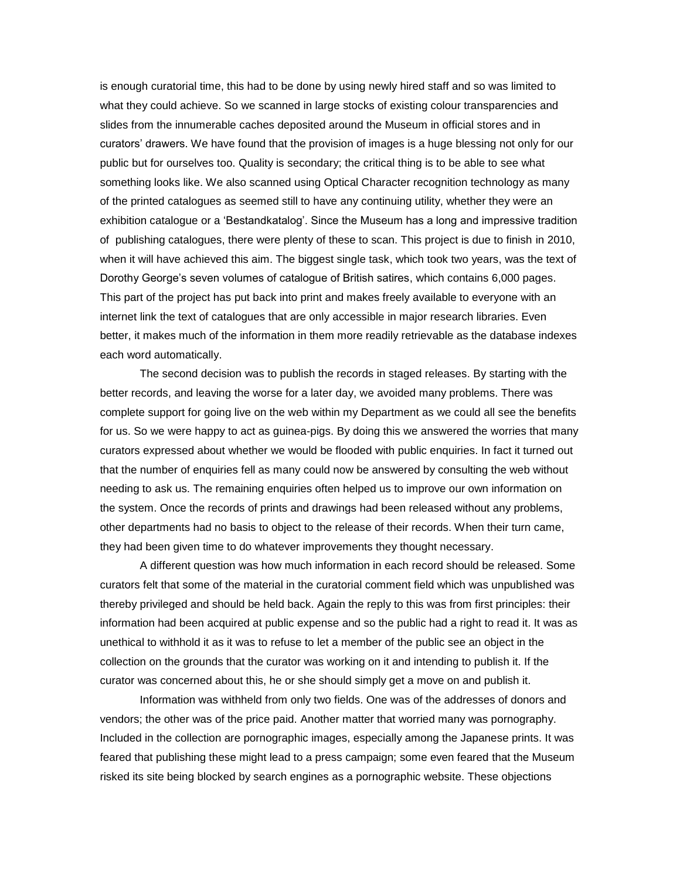is enough curatorial time, this had to be done by using newly hired staff and so was limited to what they could achieve. So we scanned in large stocks of existing colour transparencies and slides from the innumerable caches deposited around the Museum in official stores and in curators' drawers. We have found that the provision of images is a huge blessing not only for our public but for ourselves too. Quality is secondary; the critical thing is to be able to see what something looks like. We also scanned using Optical Character recognition technology as many of the printed catalogues as seemed still to have any continuing utility, whether they were an exhibition catalogue or a 'Bestandkatalog'. Since the Museum has a long and impressive tradition of publishing catalogues, there were plenty of these to scan. This project is due to finish in 2010, when it will have achieved this aim. The biggest single task, which took two years, was the text of Dorothy George's seven volumes of catalogue of British satires, which contains 6,000 pages. This part of the project has put back into print and makes freely available to everyone with an internet link the text of catalogues that are only accessible in major research libraries. Even better, it makes much of the information in them more readily retrievable as the database indexes each word automatically.

The second decision was to publish the records in staged releases. By starting with the better records, and leaving the worse for a later day, we avoided many problems. There was complete support for going live on the web within my Department as we could all see the benefits for us. So we were happy to act as guinea-pigs. By doing this we answered the worries that many curators expressed about whether we would be flooded with public enquiries. In fact it turned out that the number of enquiries fell as many could now be answered by consulting the web without needing to ask us. The remaining enquiries often helped us to improve our own information on the system. Once the records of prints and drawings had been released without any problems, other departments had no basis to object to the release of their records. When their turn came, they had been given time to do whatever improvements they thought necessary.

A different question was how much information in each record should be released. Some curators felt that some of the material in the curatorial comment field which was unpublished was thereby privileged and should be held back. Again the reply to this was from first principles: their information had been acquired at public expense and so the public had a right to read it. It was as unethical to withhold it as it was to refuse to let a member of the public see an object in the collection on the grounds that the curator was working on it and intending to publish it. If the curator was concerned about this, he or she should simply get a move on and publish it.

Information was withheld from only two fields. One was of the addresses of donors and vendors; the other was of the price paid. Another matter that worried many was pornography. Included in the collection are pornographic images, especially among the Japanese prints. It was feared that publishing these might lead to a press campaign; some even feared that the Museum risked its site being blocked by search engines as a pornographic website. These objections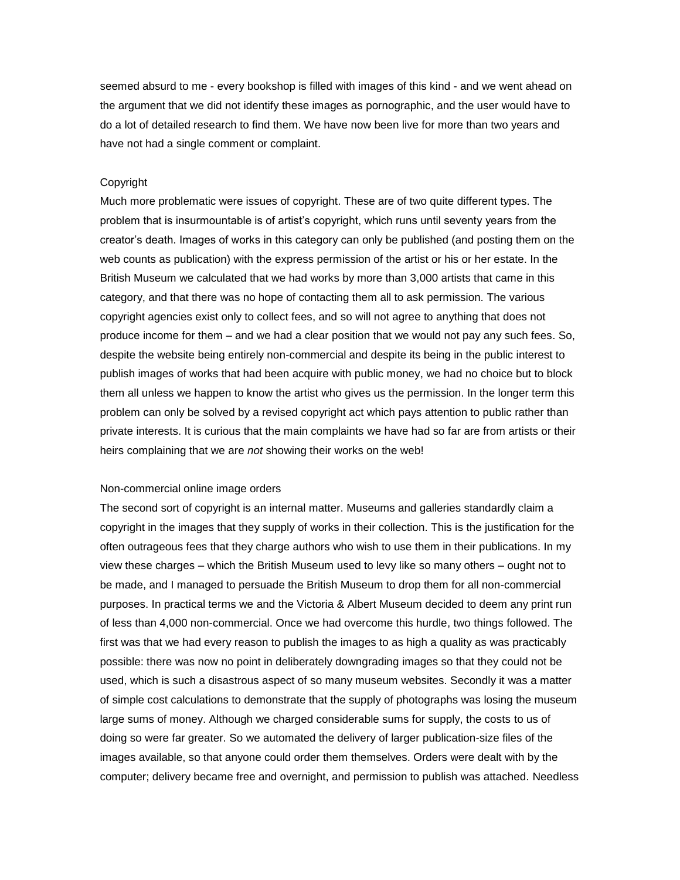seemed absurd to me - every bookshop is filled with images of this kind - and we went ahead on the argument that we did not identify these images as pornographic, and the user would have to do a lot of detailed research to find them. We have now been live for more than two years and have not had a single comment or complaint.

# **Copyright**

Much more problematic were issues of copyright. These are of two quite different types. The problem that is insurmountable is of artist's copyright, which runs until seventy years from the creator's death. Images of works in this category can only be published (and posting them on the web counts as publication) with the express permission of the artist or his or her estate. In the British Museum we calculated that we had works by more than 3,000 artists that came in this category, and that there was no hope of contacting them all to ask permission. The various copyright agencies exist only to collect fees, and so will not agree to anything that does not produce income for them – and we had a clear position that we would not pay any such fees. So, despite the website being entirely non-commercial and despite its being in the public interest to publish images of works that had been acquire with public money, we had no choice but to block them all unless we happen to know the artist who gives us the permission. In the longer term this problem can only be solved by a revised copyright act which pays attention to public rather than private interests. It is curious that the main complaints we have had so far are from artists or their heirs complaining that we are *not* showing their works on the web!

# Non-commercial online image orders

The second sort of copyright is an internal matter. Museums and galleries standardly claim a copyright in the images that they supply of works in their collection. This is the justification for the often outrageous fees that they charge authors who wish to use them in their publications. In my view these charges – which the British Museum used to levy like so many others – ought not to be made, and I managed to persuade the British Museum to drop them for all non-commercial purposes. In practical terms we and the Victoria & Albert Museum decided to deem any print run of less than 4,000 non-commercial. Once we had overcome this hurdle, two things followed. The first was that we had every reason to publish the images to as high a quality as was practicably possible: there was now no point in deliberately downgrading images so that they could not be used, which is such a disastrous aspect of so many museum websites. Secondly it was a matter of simple cost calculations to demonstrate that the supply of photographs was losing the museum large sums of money. Although we charged considerable sums for supply, the costs to us of doing so were far greater. So we automated the delivery of larger publication-size files of the images available, so that anyone could order them themselves. Orders were dealt with by the computer; delivery became free and overnight, and permission to publish was attached. Needless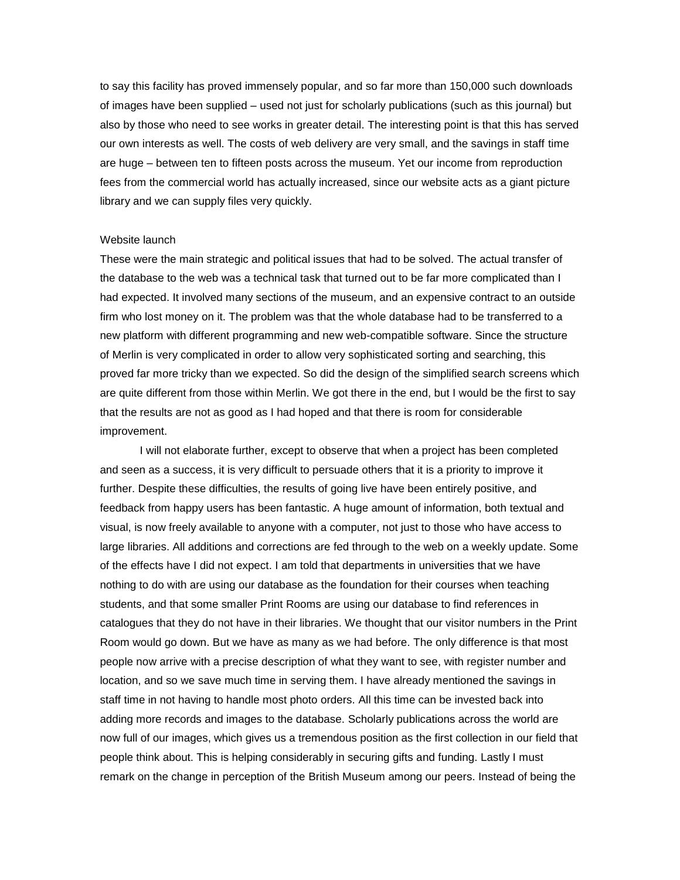to say this facility has proved immensely popular, and so far more than 150,000 such downloads of images have been supplied – used not just for scholarly publications (such as this journal) but also by those who need to see works in greater detail. The interesting point is that this has served our own interests as well. The costs of web delivery are very small, and the savings in staff time are huge – between ten to fifteen posts across the museum. Yet our income from reproduction fees from the commercial world has actually increased, since our website acts as a giant picture library and we can supply files very quickly.

## Website launch

These were the main strategic and political issues that had to be solved. The actual transfer of the database to the web was a technical task that turned out to be far more complicated than I had expected. It involved many sections of the museum, and an expensive contract to an outside firm who lost money on it. The problem was that the whole database had to be transferred to a new platform with different programming and new web-compatible software. Since the structure of Merlin is very complicated in order to allow very sophisticated sorting and searching, this proved far more tricky than we expected. So did the design of the simplified search screens which are quite different from those within Merlin. We got there in the end, but I would be the first to say that the results are not as good as I had hoped and that there is room for considerable improvement.

I will not elaborate further, except to observe that when a project has been completed and seen as a success, it is very difficult to persuade others that it is a priority to improve it further. Despite these difficulties, the results of going live have been entirely positive, and feedback from happy users has been fantastic. A huge amount of information, both textual and visual, is now freely available to anyone with a computer, not just to those who have access to large libraries. All additions and corrections are fed through to the web on a weekly update. Some of the effects have I did not expect. I am told that departments in universities that we have nothing to do with are using our database as the foundation for their courses when teaching students, and that some smaller Print Rooms are using our database to find references in catalogues that they do not have in their libraries. We thought that our visitor numbers in the Print Room would go down. But we have as many as we had before. The only difference is that most people now arrive with a precise description of what they want to see, with register number and location, and so we save much time in serving them. I have already mentioned the savings in staff time in not having to handle most photo orders. All this time can be invested back into adding more records and images to the database. Scholarly publications across the world are now full of our images, which gives us a tremendous position as the first collection in our field that people think about. This is helping considerably in securing gifts and funding. Lastly I must remark on the change in perception of the British Museum among our peers. Instead of being the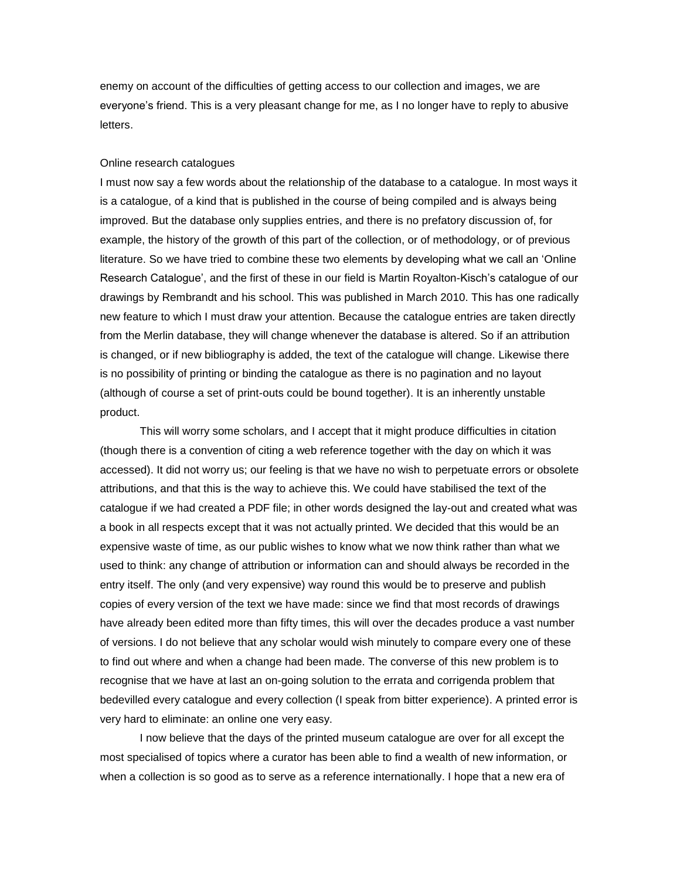enemy on account of the difficulties of getting access to our collection and images, we are everyone's friend. This is a very pleasant change for me, as I no longer have to reply to abusive letters.

### Online research catalogues

I must now say a few words about the relationship of the database to a catalogue. In most ways it is a catalogue, of a kind that is published in the course of being compiled and is always being improved. But the database only supplies entries, and there is no prefatory discussion of, for example, the history of the growth of this part of the collection, or of methodology, or of previous literature. So we have tried to combine these two elements by developing what we call an 'Online Research Catalogue', and the first of these in our field is Martin Royalton-Kisch's catalogue of our drawings by Rembrandt and his school. This was published in March 2010. This has one radically new feature to which I must draw your attention. Because the catalogue entries are taken directly from the Merlin database, they will change whenever the database is altered. So if an attribution is changed, or if new bibliography is added, the text of the catalogue will change. Likewise there is no possibility of printing or binding the catalogue as there is no pagination and no layout (although of course a set of print-outs could be bound together). It is an inherently unstable product.

This will worry some scholars, and I accept that it might produce difficulties in citation (though there is a convention of citing a web reference together with the day on which it was accessed). It did not worry us; our feeling is that we have no wish to perpetuate errors or obsolete attributions, and that this is the way to achieve this. We could have stabilised the text of the catalogue if we had created a PDF file; in other words designed the lay-out and created what was a book in all respects except that it was not actually printed. We decided that this would be an expensive waste of time, as our public wishes to know what we now think rather than what we used to think: any change of attribution or information can and should always be recorded in the entry itself. The only (and very expensive) way round this would be to preserve and publish copies of every version of the text we have made: since we find that most records of drawings have already been edited more than fifty times, this will over the decades produce a vast number of versions. I do not believe that any scholar would wish minutely to compare every one of these to find out where and when a change had been made. The converse of this new problem is to recognise that we have at last an on-going solution to the errata and corrigenda problem that bedevilled every catalogue and every collection (I speak from bitter experience). A printed error is very hard to eliminate: an online one very easy.

I now believe that the days of the printed museum catalogue are over for all except the most specialised of topics where a curator has been able to find a wealth of new information, or when a collection is so good as to serve as a reference internationally. I hope that a new era of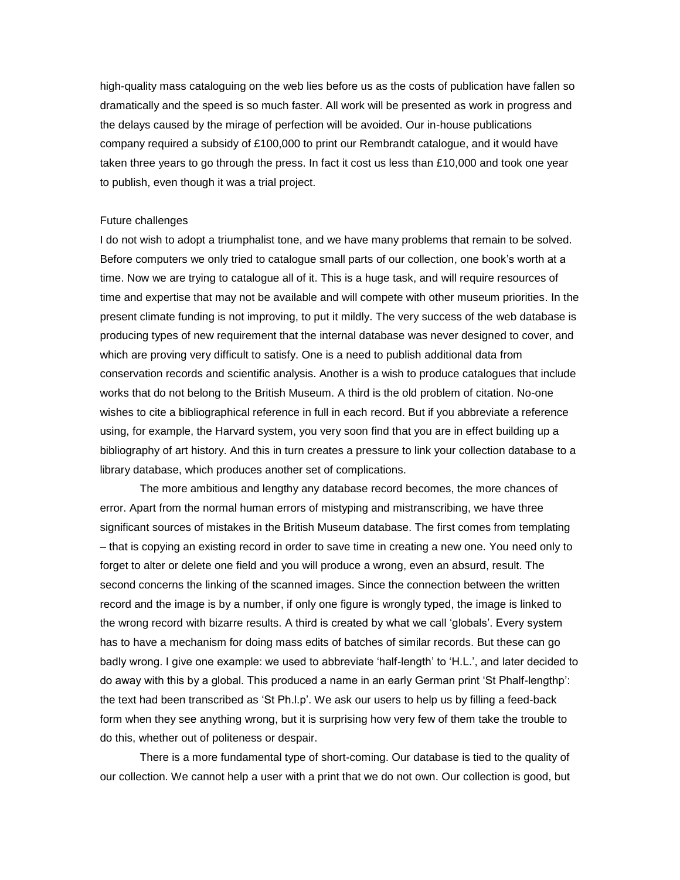high-quality mass cataloguing on the web lies before us as the costs of publication have fallen so dramatically and the speed is so much faster. All work will be presented as work in progress and the delays caused by the mirage of perfection will be avoided. Our in-house publications company required a subsidy of £100,000 to print our Rembrandt catalogue, and it would have taken three years to go through the press. In fact it cost us less than £10,000 and took one year to publish, even though it was a trial project.

# Future challenges

I do not wish to adopt a triumphalist tone, and we have many problems that remain to be solved. Before computers we only tried to catalogue small parts of our collection, one book's worth at a time. Now we are trying to catalogue all of it. This is a huge task, and will require resources of time and expertise that may not be available and will compete with other museum priorities. In the present climate funding is not improving, to put it mildly. The very success of the web database is producing types of new requirement that the internal database was never designed to cover, and which are proving very difficult to satisfy. One is a need to publish additional data from conservation records and scientific analysis. Another is a wish to produce catalogues that include works that do not belong to the British Museum. A third is the old problem of citation. No-one wishes to cite a bibliographical reference in full in each record. But if you abbreviate a reference using, for example, the Harvard system, you very soon find that you are in effect building up a bibliography of art history. And this in turn creates a pressure to link your collection database to a library database, which produces another set of complications.

The more ambitious and lengthy any database record becomes, the more chances of error. Apart from the normal human errors of mistyping and mistranscribing, we have three significant sources of mistakes in the British Museum database. The first comes from templating – that is copying an existing record in order to save time in creating a new one. You need only to forget to alter or delete one field and you will produce a wrong, even an absurd, result. The second concerns the linking of the scanned images. Since the connection between the written record and the image is by a number, if only one figure is wrongly typed, the image is linked to the wrong record with bizarre results. A third is created by what we call 'globals'. Every system has to have a mechanism for doing mass edits of batches of similar records. But these can go badly wrong. I give one example: we used to abbreviate 'half-length' to 'H.L.', and later decided to do away with this by a global. This produced a name in an early German print 'St Phalf-lengthp': the text had been transcribed as 'St Ph.l.p'. We ask our users to help us by filling a feed-back form when they see anything wrong, but it is surprising how very few of them take the trouble to do this, whether out of politeness or despair.

There is a more fundamental type of short-coming. Our database is tied to the quality of our collection. We cannot help a user with a print that we do not own. Our collection is good, but